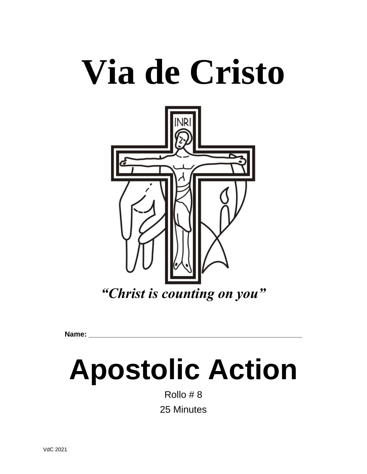# **Via de Cristo**



**Name: \_\_\_\_\_\_\_\_\_\_\_\_\_\_\_\_\_\_\_\_\_\_\_\_\_\_\_\_\_\_\_\_\_\_\_\_\_\_\_\_\_\_\_\_\_\_\_\_\_\_\_\_\_**

## **Apostolic Action**

Rollo # 8 25 Minutes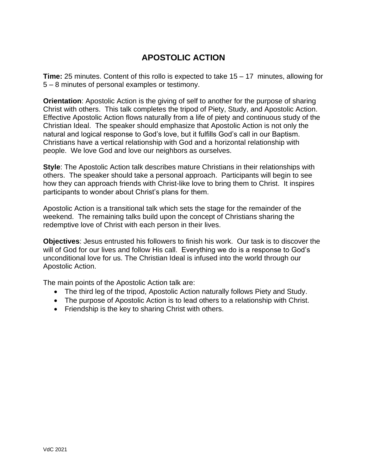### **APOSTOLIC ACTION**

**Time:** 25 minutes. Content of this rollo is expected to take 15 – 17 minutes, allowing for 5 – 8 minutes of personal examples or testimony.

**Orientation**: Apostolic Action is the giving of self to another for the purpose of sharing Christ with others. This talk completes the tripod of Piety, Study, and Apostolic Action. Effective Apostolic Action flows naturally from a life of piety and continuous study of the Christian Ideal. The speaker should emphasize that Apostolic Action is not only the natural and logical response to God's love, but it fulfills God's call in our Baptism. Christians have a vertical relationship with God and a horizontal relationship with people. We love God and love our neighbors as ourselves.

**Style**: The Apostolic Action talk describes mature Christians in their relationships with others. The speaker should take a personal approach. Participants will begin to see how they can approach friends with Christ-like love to bring them to Christ. It inspires participants to wonder about Christ's plans for them.

Apostolic Action is a transitional talk which sets the stage for the remainder of the weekend. The remaining talks build upon the concept of Christians sharing the redemptive love of Christ with each person in their lives.

**Objectives**: Jesus entrusted his followers to finish his work. Our task is to discover the will of God for our lives and follow His call. Everything we do is a response to God's unconditional love for us. The Christian Ideal is infused into the world through our Apostolic Action.

The main points of the Apostolic Action talk are:

- The third leg of the tripod, Apostolic Action naturally follows Piety and Study.
- The purpose of Apostolic Action is to lead others to a relationship with Christ.
- Friendship is the key to sharing Christ with others.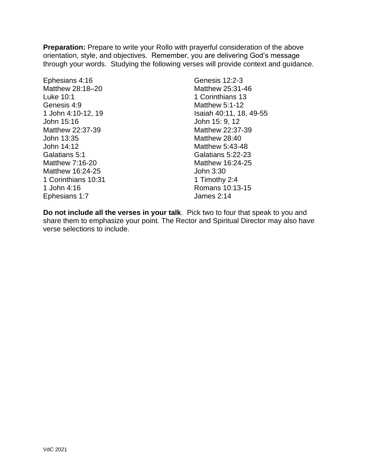**Preparation:** Prepare to write your Rollo with prayerful consideration of the above orientation, style, and objectives. Remember, you are delivering God's message through your words. Studying the following verses will provide context and guidance.

Ephesians 4:16 Matthew 28:18–20 Luke 10:1 Genesis 4:9 1 John 4:10-12, 19 John 15:16 Matthew 22:37-39 John 13:35 John 14:12 Galatians 5:1 Matthew 7:16-20 Matthew 16:24-25 1 Corinthians 10:31 1 John 4:16 Ephesians 1:7

Genesis 12:2-3 Matthew 25:31-46 1 Corinthians 13 Matthew 5:1-12 Isaiah 40:11, 18, 49-55 John 15: 9, 12 Matthew 22:37-39 Matthew 28:40 Matthew 5:43-48 Galatians 5:22-23 Matthew 16:24-25 John 3:30 1 Timothy 2:4 Romans 10:13-15 James 2:14

**Do not include all the verses in your talk**. Pick two to four that speak to you and share them to emphasize your point. The Rector and Spiritual Director may also have verse selections to include.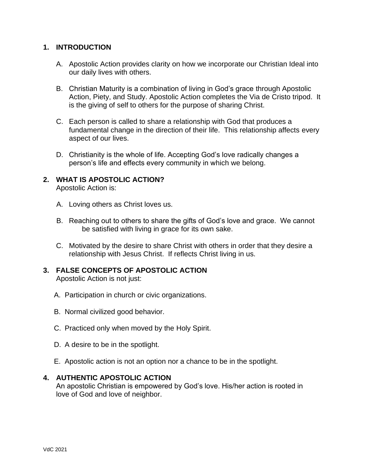#### **1. INTRODUCTION**

- A. Apostolic Action provides clarity on how we incorporate our Christian Ideal into our daily lives with others.
- B. Christian Maturity is a combination of living in God's grace through Apostolic Action, Piety, and Study. Apostolic Action completes the Via de Cristo tripod. It is the giving of self to others for the purpose of sharing Christ.
- C. Each person is called to share a relationship with God that produces a fundamental change in the direction of their life. This relationship affects every aspect of our lives.
- D. Christianity is the whole of life. Accepting God's love radically changes a person's life and effects every community in which we belong.

#### **2. WHAT IS APOSTOLIC ACTION?**

Apostolic Action is:

- A. Loving others as Christ loves us.
- B. Reaching out to others to share the gifts of God's love and grace. We cannot be satisfied with living in grace for its own sake.
- C. Motivated by the desire to share Christ with others in order that they desire a relationship with Jesus Christ. If reflects Christ living in us.

#### **3. FALSE CONCEPTS OF APOSTOLIC ACTION**

Apostolic Action is not just:

- A. Participation in church or civic organizations.
- B. Normal civilized good behavior.
- C. Practiced only when moved by the Holy Spirit.
- D. A desire to be in the spotlight.
- E. Apostolic action is not an option nor a chance to be in the spotlight.

#### **4. AUTHENTIC APOSTOLIC ACTION**

An apostolic Christian is empowered by God's love. His/her action is rooted in love of God and love of neighbor.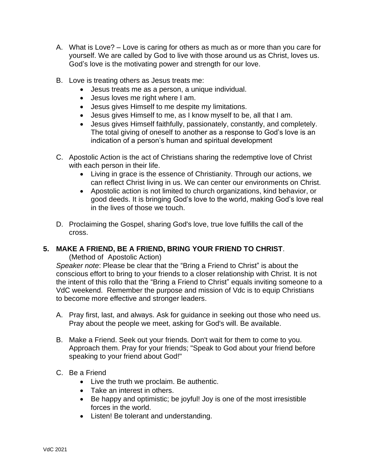- A. What is Love? Love is caring for others as much as or more than you care for yourself. We are called by God to live with those around us as Christ, loves us. God's love is the motivating power and strength for our love.
- B. Love is treating others as Jesus treats me:
	- Jesus treats me as a person, a unique individual.
	- Jesus loves me right where I am.
	- Jesus gives Himself to me despite my limitations.
	- Jesus gives Himself to me, as I know myself to be, all that I am.
	- Jesus gives Himself faithfully, passionately, constantly, and completely. The total giving of oneself to another as a response to God's love is an indication of a person's human and spiritual development
- C. Apostolic Action is the act of Christians sharing the redemptive love of Christ with each person in their life.
	- Living in grace is the essence of Christianity. Through our actions, we can reflect Christ living in us. We can center our environments on Christ.
	- Apostolic action is not limited to church organizations, kind behavior, or good deeds. It is bringing God's love to the world, making God's love real in the lives of those we touch.
- D. Proclaiming the Gospel, sharing God's love, true love fulfills the call of the cross.

#### **5. MAKE A FRIEND, BE A FRIEND, BRING YOUR FRIEND TO CHRIST**.

(Method of Apostolic Action)

*Speaker note*: Please be clear that the "Bring a Friend to Christ" is about the conscious effort to bring to your friends to a closer relationship with Christ. It is not the intent of this rollo that the "Bring a Friend to Christ" equals inviting someone to a VdC weekend. Remember the purpose and mission of Vdc is to equip Christians to become more effective and stronger leaders.

- A. Pray first, last, and always. Ask for guidance in seeking out those who need us. Pray about the people we meet, asking for God's will. Be available.
- B. Make a Friend. Seek out your friends. Don't wait for them to come to you. Approach them. Pray for your friends; "Speak to God about your friend before speaking to your friend about God!"
- C. Be a Friend
	- Live the truth we proclaim. Be authentic.
	- Take an interest in others.
	- Be happy and optimistic; be joyful! Joy is one of the most irresistible forces in the world.
	- Listen! Be tolerant and understanding.